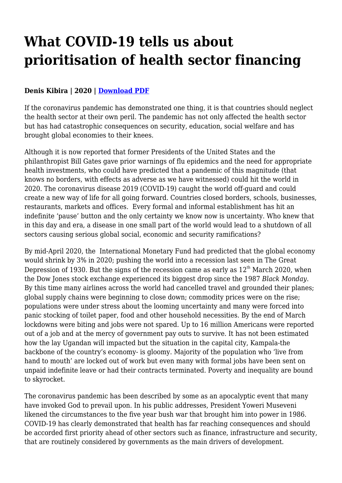## **What COVID-19 tells us about prioritisation of health sector financing**

## **Denis Kibira | 2020 | [Download PDF](https://haiweb.org/wp-content/uploads/2021/04/What-COVID-19-tells-us-about-prioritisation-of-health-sector-financing.pdf)**

If the coronavirus pandemic has demonstrated one thing, it is that countries should neglect the health sector at their own peril. The pandemic has not only affected the health sector but has had catastrophic consequences on security, education, social welfare and has brought global economies to their knees.

Although it is now reported that former Presidents of the United States and the philanthropist Bill Gates gave prior warnings of flu epidemics and the need for appropriate health investments, who could have predicted that a pandemic of this magnitude (that knows no borders, with effects as adverse as we have witnessed) could hit the world in 2020. The coronavirus disease 2019 (COVID-19) caught the world off-guard and could create a new way of life for all going forward. Countries closed borders, schools, businesses, restaurants, markets and offices. Every formal and informal establishment has hit an indefinite 'pause' button and the only certainty we know now is uncertainty. Who knew that in this day and era, a disease in one small part of the world would lead to a shutdown of all sectors causing serious global social, economic and security ramifications?

By mid-April 2020, the International Monetary Fund had predicted that the global economy would shrink by 3% in 2020; pushing the world into a recession last seen in The Great Depression of 1930. But the signs of the recession came as early as  $12<sup>th</sup>$  March 2020, when the Dow Jones stock exchange experienced its biggest drop since the 1987 *Black Monday*. By this time many airlines across the world had cancelled travel and grounded their planes; global supply chains were beginning to close down; commodity prices were on the rise; populations were under stress about the looming uncertainty and many were forced into panic stocking of toilet paper, food and other household necessities. By the end of March lockdowns were biting and jobs were not spared. Up to 16 million Americans were reported out of a job and at the mercy of government pay outs to survive. It has not been estimated how the lay Ugandan will impacted but the situation in the capital city, Kampala-the backbone of the country's economy- is gloomy. Majority of the population who 'live from hand to mouth' are locked out of work but even many with formal jobs have been sent on unpaid indefinite leave or had their contracts terminated. Poverty and inequality are bound to skyrocket.

The coronavirus pandemic has been described by some as an apocalyptic event that many have invoked God to prevail upon. In his public addresses, President Yoweri Museveni likened the circumstances to the five year bush war that brought him into power in 1986. COVID-19 has clearly demonstrated that health has far reaching consequences and should be accorded first priority ahead of other sectors such as finance, infrastructure and security, that are routinely considered by governments as the main drivers of development.